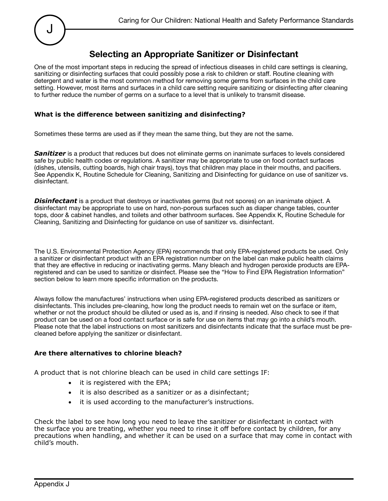# Selecting an Appropriate Sanitizer or Disinfectant

One of the most important steps in reducing the spread of infectious diseases in child care settings is cleaning, sanitizing or disinfecting surfaces that could possibly pose a risk to children or staff. Routine cleaning with detergent and water is the most common method for removing some germs from surfaces in the child care setting. However, most items and surfaces in a child care setting require sanitizing or disinfecting after cleaning to further reduce the number of germs on a surface to a level that is unlikely to transmit disease.

## **What is the difference between sanitizing and disinfecting?**

Sometimes these terms are used as if they mean the same thing, but they are not the same.

**Sanitizer** is a product that reduces but does not eliminate germs on inanimate surfaces to levels considered safe by public health codes or regulations. A sanitizer may be appropriate to use on food contact surfaces (dishes, utensils, cutting boards, high chair trays), toys that children may place in their mouths, and pacifiers. See Appendix K, Routine Schedule for Cleaning, Sanitizing and Disinfecting for guidance on use of sanitizer vs. disinfectant.

**Disinfectant** is a product that destroys or inactivates germs (but not spores) on an inanimate object. A disinfectant may be appropriate to use on hard, non-porous surfaces such as diaper change tables, counter tops, door & cabinet handles, and toilets and other bathroom surfaces. See Appendix K, Routine Schedule for Cleaning, Sanitizing and Disinfecting for guidance on use of sanitizer vs. disinfectant.

The U.S. Environmental Protection Agency (EPA) recommends that only EPA-registered products be used. Only a sanitizer or disinfectant product with an EPA registration number on the label can make public health claims that they are effective in reducing or inactivating germs. Many bleach and hydrogen peroxide products are EPAregistered and can be used to sanitize or disinfect. Please see the "How to Find EPA Registration Information" section below to learn more specific information on the products.

Always follow the manufactures' instructions when using EPA-registered products described as sanitizers or disinfectants. This includes pre-cleaning, how long the product needs to remain wet on the surface or item, whether or not the product should be diluted or used as is, and if rinsing is needed. Also check to see if that product can be used on a food contact surface or is safe for use on items that may go into a child's mouth. Please note that the label instructions on most sanitizers and disinfectants indicate that the surface must be precleaned before applying the sanitizer or disinfectant.

## **Are there alternatives to chlorine bleach?**

A product that is not chlorine bleach can be used in child care settings IF:

- it is registered with the EPA;
- it is also described as a sanitizer or as a disinfectant;
- it is used according to the manufacturer's instructions.

Check the label to see how long you need to leave the sanitizer or disinfectant in contact with the surface you are treating, whether you need to rinse it off before contact by children, for any precautions when handling, and whether it can be used on a surface that may come in contact with child's mouth.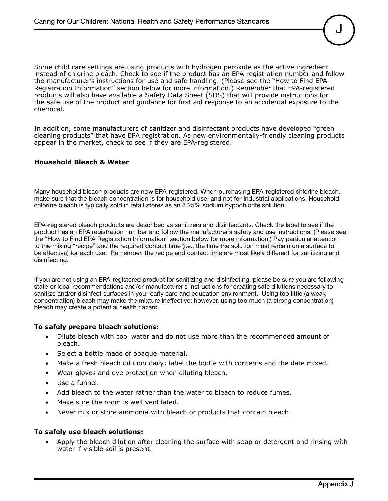Some child care settings are using products with hydrogen peroxide as the active ingredient instead of chlorine bleach. Check to see if the product has an EPA registration number and follow the manufacturer's instructions for use and safe handling. (Please see the "How to Find EPA Registration Information" section below for more information.) Remember that EPA-registered products will also have available a Safety Data Sheet (SDS) that will provide instructions for the safe use of the product and guidance for first aid response to an accidental exposure to the chemical.

In addition, some manufacturers of sanitizer and disinfectant products have developed "green cleaning products" that have EPA registration. As new environmentally-friendly cleaning products appear in the market, check to see if they are EPA-registered.

## **Household Bleach & Water**

Many household bleach products are now EPA-registered. When purchasing EPA-registered chlorine bleach, make sure that the bleach concentration is for household use, and not for industrial applications. Household chlorine bleach is typically sold in retail stores as an 8.25% sodium hypochlorite solution.

EPA-registered bleach products are described as sanitizers and disinfectants. Check the label to see if the product has an EPA registration number and follow the manufacturer's safety and use instructions. (Please see the "How to Find EPA Registration Information" section below for more information.) Pay particular attention to the mixing "recipe" and the required contact time (i.e., the time the solution must remain on a surface to be effective) for each use. Remember, the recipe and contact time are most likely different for sanitizing and disinfecting.

If you are not using an EPA-registered product for sanitizing and disinfecting, please be sure you are following state or local recommendations and/or manufacturer's instructions for creating safe dilutions necessary to sanitize and/or disinfect surfaces in your early care and education environment. Using too little (a weak concentration) bleach may make the mixture ineffective; however, using too much (a strong concentration) bleach may create a potential health hazard.

#### **To safely prepare bleach solutions:**

- Dilute bleach with cool water and do not use more than the recommended amount of bleach.
- Select a bottle made of opaque material.
- Make a fresh bleach dilution daily; label the bottle with contents and the date mixed.
- Wear gloves and eye protection when diluting bleach.
- Use a funnel.
- Add bleach to the water rather than the water to bleach to reduce fumes.
- Make sure the room is well ventilated.
- Never mix or store ammonia with bleach or products that contain bleach.

### **To safely use bleach solutions:**

Apply the bleach dilution after cleaning the surface with soap or detergent and rinsing with water if visible soil is present.

J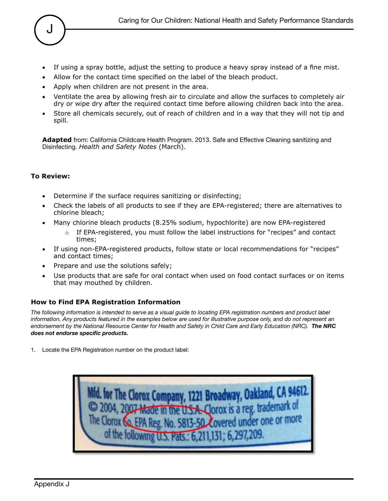

- If using a spray bottle, adjust the setting to produce a heavy spray instead of a fine mist.
- Allow for the contact time specified on the label of the bleach product.
- Apply when children are not present in the area.
- Ventilate the area by allowing fresh air to circulate and allow the surfaces to completely air dry or wipe dry after the required contact time before allowing children back into the area.
- Store all chemicals securely, out of reach of children and in a way that they will not tip and spill.

**Adapted** from: California Childcare Health Program. 2013. Safe and Effective Cleaning sanitizing and Disinfecting. *Health and Safety Notes* (March).

## **To Review:**

- Determine if the surface requires sanitizing or disinfecting;
- Check the labels of all products to see if they are EPA-registered; there are alternatives to chlorine bleach;
- Many chlorine bleach products (8.25% sodium, hypochlorite) are now EPA-registered
	- o If EPA-registered, you must follow the label instructions for "recipes" and contact times;
- If using non-EPA-registered products, follow state or local recommendations for "recipes" and contact times;
- Prepare and use the solutions safely;
- Use products that are safe for oral contact when used on food contact surfaces or on items that may mouthed by children.

## **How to Find EPA Registration Information**

*The following information is intended to serve as a visual guide to locating EPA registration numbers and product label*  information. Any products featured in the examples below are used for illustrative purpose only, and do not represent an *endorsement by the National Resource Center for Health and Safety in Child Care and Early Education (NRC). The NRC does not endorse specific products.*

1. Locate the EPA Registration number on the product label:

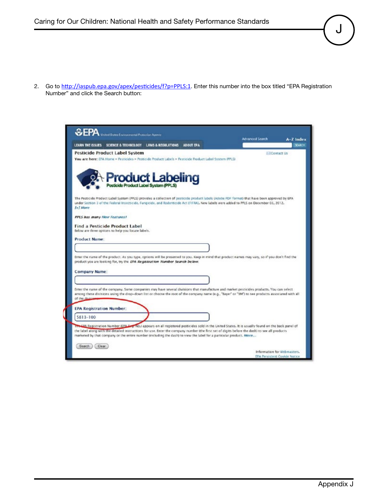2. Go to <http://iaspub.epa.gov/apex/pesticides/f?p=PPLS:1>. Enter this number into the box titled "EPA Registration Number" and click the Search button:

| <b>CHA</b> Using States Concerns Protection Agency                                                                                                                                                                                                                                                                                                                                                                           | <b>Advanced Search</b>                                             |
|------------------------------------------------------------------------------------------------------------------------------------------------------------------------------------------------------------------------------------------------------------------------------------------------------------------------------------------------------------------------------------------------------------------------------|--------------------------------------------------------------------|
| LEARN THE ISSUES SCIENCE & TECHNOLOGY LAWS & REGULATIONS<br><b>ABOUT EPA</b>                                                                                                                                                                                                                                                                                                                                                 | A-Z Index<br>SEARCH                                                |
| <b>Pesticide Product Label System</b><br>You are here: EPA Home - Pesticides - Pesticide Product Labels - Pesticide Product Label System (PPLS)                                                                                                                                                                                                                                                                              | <b>NdContact Us</b>                                                |
| <b>Product Labeling</b>                                                                                                                                                                                                                                                                                                                                                                                                      |                                                                    |
| The Pesticide Product Label System (PPLS) provides a collection of pesticide product labels (Adobe PDF format) that have been approved by EPA<br>under Section 3 of the Federal Insecticide, Fungicide, and Rodenticide Act (FIFRA), New labels were added to PPLS on December 03, 2012.<br>$[-]$ More                                                                                                                       |                                                                    |
| PPLS has many New Features!                                                                                                                                                                                                                                                                                                                                                                                                  |                                                                    |
| <b>Find a Pesticide Product Label</b><br>Below are three options to help you locate labels.                                                                                                                                                                                                                                                                                                                                  |                                                                    |
| <b>Product Name:</b>                                                                                                                                                                                                                                                                                                                                                                                                         |                                                                    |
|                                                                                                                                                                                                                                                                                                                                                                                                                              |                                                                    |
| Enter the name of the product. As you type, options will be presented to you. Keep in mind that product names may vary, so if you don't find the<br>product you are looking for, try the EPA Registration Number Search below.                                                                                                                                                                                               |                                                                    |
| Company Name:                                                                                                                                                                                                                                                                                                                                                                                                                |                                                                    |
|                                                                                                                                                                                                                                                                                                                                                                                                                              |                                                                    |
| Enter the name of the company. Some companies may have several divisions that manufacture and market pesticides products. You can select<br>among these divisions using the drop-down list or choose the root of the company name (e.g., "Bayer" or "3M") to see products associated with all<br>of the distant                                                                                                              |                                                                    |
| <b>EPA Registration Number:</b>                                                                                                                                                                                                                                                                                                                                                                                              |                                                                    |
| 5813-100                                                                                                                                                                                                                                                                                                                                                                                                                     |                                                                    |
| The CPA Registration Number (CPA Per, No.) appears on all registered pesticides sold in the United States. It is usually found on the back panel of<br>the label along with the detailed instructions for use. Enter the company number (the first set of digits before the dash) to see all products<br>marketed by that company or the entire number (including the dash) to view the label for a particular product. More |                                                                    |
| Search<br>Clear                                                                                                                                                                                                                                                                                                                                                                                                              |                                                                    |
|                                                                                                                                                                                                                                                                                                                                                                                                                              | Information for Webmasters.<br><b>EPA Persistent Cookie Notice</b> |

J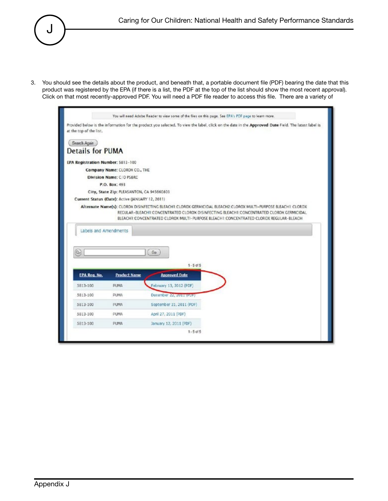

3. You should see the details about the product, and beneath that, a portable document file (PDF) bearing the date that this product was registered by the EPA (if there is a list, the PDF at the top of the list should show the most recent approval). Click on that most recently-approved PDF. You will need a PDF file reader to access this file. There are a variety of

| at the top of the list.                          |                               | Provided below is the information for the product you selected. To view the label, click on the date in the Approved Date Field. The latest label is                                                                                                                                            |  |
|--------------------------------------------------|-------------------------------|-------------------------------------------------------------------------------------------------------------------------------------------------------------------------------------------------------------------------------------------------------------------------------------------------|--|
| Search Again                                     |                               |                                                                                                                                                                                                                                                                                                 |  |
| <b>Details for PUMA</b>                          |                               |                                                                                                                                                                                                                                                                                                 |  |
| EPA Registration Number: 5813-100                |                               |                                                                                                                                                                                                                                                                                                 |  |
|                                                  | Company Name: CLOROX CO., THE |                                                                                                                                                                                                                                                                                                 |  |
|                                                  | Division Name: C/O PS&RC      |                                                                                                                                                                                                                                                                                                 |  |
|                                                  | P.O. Rox: 493                 |                                                                                                                                                                                                                                                                                                 |  |
|                                                  |                               | City, State Zip: PLEASANTON, CA 945660803                                                                                                                                                                                                                                                       |  |
| Current Status (Date): Active (JANUARY 12, 2011) |                               |                                                                                                                                                                                                                                                                                                 |  |
|                                                  |                               | Alternate Name(s): CLOROX DISINFECTING BLEACH1:CLOROX GERMICIDAL BLEACH2:CLOROX MULTI-PURPOSE BLEACH1:CLOROX<br>REGULAR-BLEACH1:CONCENTRATED CLOROX DISINFECTING BLEACH1:CONCENTRATED CLOROX GERMICIDAL<br>BLEACH1:CONCENTRATED CLOROX MULTI-PURPOSE BLEACH1:CONCENTRATED CLOROX REGULAR-BLEACH |  |
|                                                  |                               |                                                                                                                                                                                                                                                                                                 |  |
| Labels and Amendments                            |                               |                                                                                                                                                                                                                                                                                                 |  |
| $(\alpha)$                                       |                               | Go                                                                                                                                                                                                                                                                                              |  |
| <b>EPA Reg. No.</b>                              | <b>Product Name</b>           | $1 - 5$ of $5$<br><b>Approved Date</b>                                                                                                                                                                                                                                                          |  |
| 5813-100                                         | PLIMA                         | February 13, 2012 (PDF)                                                                                                                                                                                                                                                                         |  |
| 5813-100                                         | PLIMA                         | December 22, 2011 (PDF)                                                                                                                                                                                                                                                                         |  |
| 5813-100                                         | PUMA                          | September 21, 2011 (PDF)                                                                                                                                                                                                                                                                        |  |
| 5813-100                                         | PUMA                          | April 27, 2011 (PDF)                                                                                                                                                                                                                                                                            |  |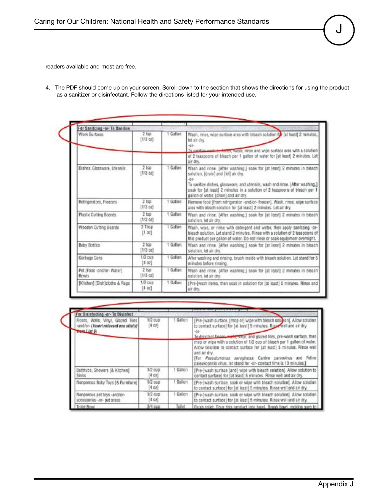readers available and most are free.

4. The PDF should come up on your screen. Scroll down to the section that shows the directions for using the product as a sanitizer or disinfectant. Follow the directions listed for your intended use.

| For Sanitizing -or- To Sanitize    |                               |          |                                                                                                                                                                                                                                                                                                                                    |
|------------------------------------|-------------------------------|----------|------------------------------------------------------------------------------------------------------------------------------------------------------------------------------------------------------------------------------------------------------------------------------------------------------------------------------------|
| Work Surfaces                      | $2$ tsp<br>[1/3 02]           | 1 Gallon | Wash, rinse, wipe surface area with bleach solution to [at least] 2 minutes,<br>let air dry.<br>very.<br>To capiting assistant foods, wash, rinse and wipe surface area with a solution                                                                                                                                            |
|                                    |                               |          | of 2 teaspoons of bleach per 1 gallon of water for [at least] 2 minutes. Let<br>air dry.                                                                                                                                                                                                                                           |
| Dishes, Glassware, Utensils        | $2$ tsp<br>[1/3, 02]          | 1 Gallon | Wash and rinse. [After washing.] soak for [at least] 2 minutes in bleach<br>solution. [drain] and [let] air dry.<br>$-00-$<br>To sanitize dishes, glassware, and utensils, wash and rinse. [After washing,]<br>soak for [at least] 2 minutes in a solution of 2 teaspoons of bleach per 1<br>gallon of water. [drain] and air dry. |
| Refrigerators, Freezers            | $2$ tsp<br>$[1/3 \text{ or}]$ | 1 Gallon | Remove tood (from refrigerator -and/or- freezer). Wash, rinse, wipe surface<br>area with bleach solution for [at least] 2 minutes. Let air dry.                                                                                                                                                                                    |
| <b>Plastic Cutting Boards</b>      | $2$ tsp<br>[1/3 02]           | 1 Gallon | Wash and rinse. [After washing.] soak for [at least] 2 minutes in bleach<br>solution, let air dry.                                                                                                                                                                                                                                 |
| Wooden Cutting Boards              | 2 Tbsp<br>[107]               | 1 Gallon | Wash, wipe, or rinse with detergent and water, then apply sanitizing -or-<br>bleach solution, Let stand 2 minutes. Rinse with a solution of 2 teaspoons of<br>this product per gallon of water. Do not rinse or soak equipment overnight.                                                                                          |
| <b>Baby Bottles</b>                | $2$ tsp<br>$[1/3$ oz          | 1 Gallon | Wash and rinse. [After washing.] soak for [at least] 2 minutes in bleach<br>solution, let air dry.                                                                                                                                                                                                                                 |
| Garbage Cans                       | $1/2$ cup<br>[4.02]           | 1 Gallon | After washing and rinsing, brush inside with bleach solution. Let stand for 5<br>minutes before rinsing.                                                                                                                                                                                                                           |
| Pet [Food -and/or- Water]<br>Bowls | $2$ tsp<br>$[1/3$ or          | 1 Gallon | Wash and rinse. [After washing.] soak for [at least] 2 minutes in bleach<br>solution, let air dry.                                                                                                                                                                                                                                 |
| [Kitchen] [Dish]cloths & Rags      | $1/2$ cup<br>[4 or]           | 1 Gallon | (Pre-)wash items, then soak in solution for (at least) 5 minutes. Rinse and<br>air dry.                                                                                                                                                                                                                                            |

| Floors, Walls, Vinyl, Glazed Tiles<br>(a)gita yau tnevelwr negot) -oddor-<br>$Proof S$ | $1/2$ cup<br>[402]                                       | 1 Gallon | [Pre-]wash surface, [mop or] wipe with bleach solution]. Allow solution<br>to contact surface] for (at least) 5 minutes. Rinco well and air dry.<br>$-38-$<br>To disinfact floors, while, viryl, and glazed tiles, pre-wash surface, then                                                             |
|----------------------------------------------------------------------------------------|----------------------------------------------------------|----------|-------------------------------------------------------------------------------------------------------------------------------------------------------------------------------------------------------------------------------------------------------------------------------------------------------|
|                                                                                        |                                                          |          | mep or wipe with a solution of 1/2 cup of bleach per 1 gallon of water.<br>Allow solution to contact surface for (at least) 5 minutes. Rinse well<br>and air dry.<br>[For Pseudomonas aeruginosa, Canine parvovirus and Feline<br>paleukopenia virus, let stand for -or- contact time is 10 minutes.] |
| Bathtubs, Showers [& Kitchen]<br>Sinks                                                 | $1/2$ $\alpha$ $\alpha$<br>$[4 \text{ or}]$              | 1 Gallon | [Pre-]wash surface [and] wipe with bleach solution]. Allow solution to<br>contact surface) for (at least) 5 minutes. Rinse well and air dry.                                                                                                                                                          |
| Nonporous Baby Toys [& Furniture]                                                      | $1/2$ $cu$ <sup><math>0</math></sup><br>$[4 \text{ oz}]$ | 1 Gallon | [Pre-]wash surface, soak or wipe with bleach solution]. Allow solution<br>to contact surface] for [at least] 5 minutes. Rinse well and air dry.                                                                                                                                                       |
| Nenporous pet toys -and/or-<br>accessories -or- pet areas                              | $1/2$ cup<br>[402]                                       | 1 Gallon | [Pre-]wash surface, soak or wipe with bleach solution]. Allow solution<br>to contact surface] for [at least] 5 minutes. Rinse well and air dry.                                                                                                                                                       |
| <b>Dilet Bond</b>                                                                      | 3/4 cup                                                  | Toilet   | Firsh tollet. Pour this aroduct into bowl. Brush bowl, making sure to                                                                                                                                                                                                                                 |